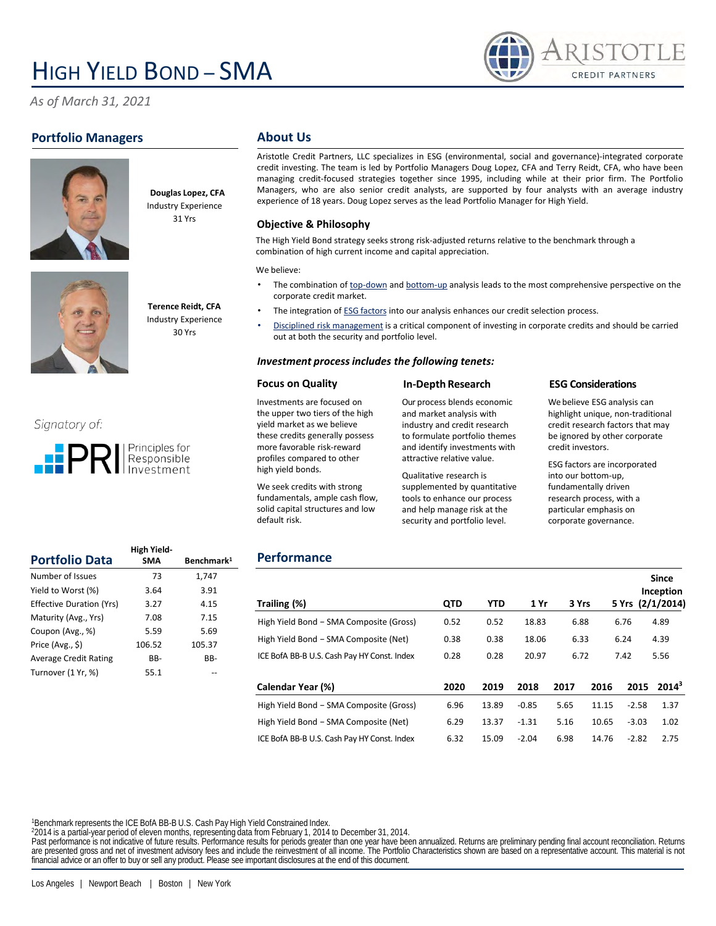# HIGH YIELD BOND – SMA

*As of March 31, 2021*

## **Portfolio Managers**





**Douglas Lopez, CFA** Industry Experience 31 Yrs



**Terence Reidt, CFA** Industry Experience

30 Yrs

## Signatory of:



|                                 | High Yield- |                        |
|---------------------------------|-------------|------------------------|
| <b>Portfolio Data</b>           | <b>SMA</b>  | Benchmark <sup>1</sup> |
| Number of Issues                | 73          | 1.747                  |
| Yield to Worst (%)              | 3.64        | 3.91                   |
| <b>Effective Duration (Yrs)</b> | 3.27        | 4.15                   |
| Maturity (Avg., Yrs)            | 7.08        | 7.15                   |
| Coupon (Avg., %)                | 5.59        | 5.69                   |
| Price (Avg., \$)                | 106.52      | 105.37                 |
| <b>Average Credit Rating</b>    | BB-         | BB-                    |
| Turnover (1 Yr. %)              | 55.1        |                        |

#### **About Us**

Aristotle Credit Partners, LLC specializes in ESG (environmental, social and governance)‐integrated corporate credit investing. The team is led by Portfolio Managers Doug Lopez, CFA and Terry Reidt, CFA, who have been managing credit‐focused strategies together since 1995, including while at their prior firm. The Portfolio Managers, who are also senior credit analysts, are supported by four analysts with an average industry experience of 18 years. Doug Lopez serves as the lead Portfolio Manager for High Yield.

#### **Objective & Philosophy**

The High Yield Bond strategy seeks strong risk-adjusted returns relative to the benchmark through a combination of high current income and capital appreciation.

We believe:

- The combination of top-down and bottom-up analysis leads to the most comprehensive perspective on the corporate credit market.
- The integration of ESG factors into our analysis enhances our credit selection process.
- Disciplined risk management is a critical component of investing in corporate credits and should be carried out at both the security and portfolio level.

#### *Investment process includes the following tenets:*

#### **Focus on Quality**

Investments are focused on the upper two tiers of the high yield market as we believe these credits generally possess more favorable risk-reward profiles compared to other high yield bonds.

We seek credits with strong fundamentals, ample cash flow, solid capital structures and low

#### **In-Depth Research**

Our process blends economic and market analysis with industry and credit research to formulate portfolio themes and identify investments with attractive relative value.

Qualitative research is supplemented by quantitative tools to enhance our process and help manage risk at the security and portfolio level.

#### **ESG Considerations**

We believe ESG analysis can highlight unique, non-traditional credit research factors that may be ignored by other corporate credit investors.

**CREDIT PARTNERS** 

ESG factors are incorporated into our bottom-up, fundamentally driven research process, with a particular emphasis on corporate governance.

**Since** 

### **Performance**

default risk.

|                                             |            |       |         |       |       |         | Inception        |
|---------------------------------------------|------------|-------|---------|-------|-------|---------|------------------|
| Trailing (%)                                | <b>QTD</b> | YTD   | 1 Yr    | 3 Yrs |       |         | 5 Yrs (2/1/2014) |
| High Yield Bond - SMA Composite (Gross)     | 0.52       | 0.52  | 18.83   | 6.88  |       | 6.76    | 4.89             |
| High Yield Bond - SMA Composite (Net)       | 0.38       | 0.38  | 18.06   | 6.33  |       | 6.24    | 4.39             |
| ICE BofA BB-B U.S. Cash Pay HY Const. Index | 0.28       | 0.28  | 20.97   | 6.72  |       | 7.42    | 5.56             |
|                                             |            |       |         |       |       |         |                  |
| Calendar Year (%)                           | 2020       | 2019  | 2018    | 2017  | 2016  | 2015    | $2014^3$         |
| High Yield Bond - SMA Composite (Gross)     | 6.96       | 13.89 | $-0.85$ | 5.65  | 11.15 | $-2.58$ | 1.37             |
| High Yield Bond - SMA Composite (Net)       | 6.29       | 13.37 | $-1.31$ | 5.16  | 10.65 | $-3.03$ | 1.02             |
| ICE BofA BB-B U.S. Cash Pay HY Const. Index | 6.32       | 15.09 | $-2.04$ | 6.98  | 14.76 | $-2.82$ | 2.75             |

<sup>1</sup>Benchmark represents the ICE BofA BB-B U.S. Cash Pay High Yield Constrained Index.

<sup>2</sup>2014 is a partial-year period of eleven months, representing data from February 1, 2014 to December 31, 2014.

Past performance is not indicative of future results. Performance results for periods greater than one year have been annualized. Returns are preliminary pending final account reconciliation. Returns are presented gross and net of investment advisory fees and include the reinvestment of all income. The Portfolio Characteristics shown are based on a representative account. This material is not financial advice or an offer to buy or sell any product. Please see important disclosures at the end of this document.